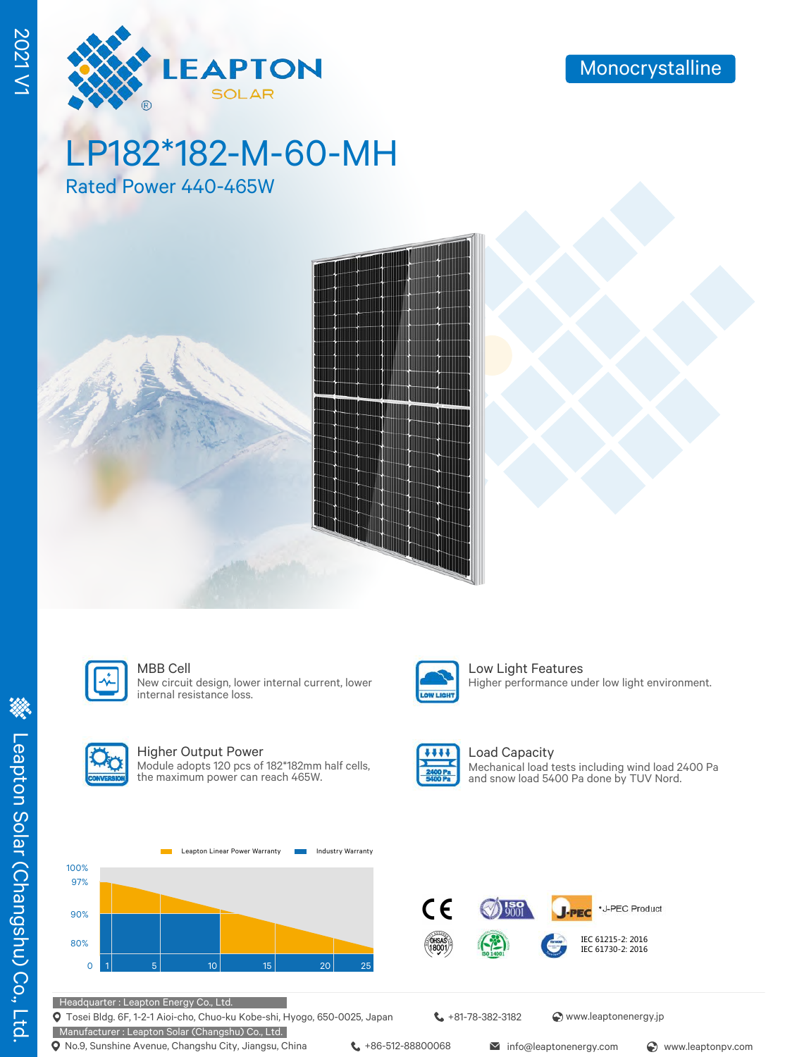

# LP182\*182-M-60-MH

Rated Power 440-465W





New circuit design, lower internal current, lower internal resistance loss.



MBB Cell **Low Light Features** Higher performance under low light environment.



#### Higher Output Power

Module adopts 120 pcs of 182\*182mm half cells, the maximum power can reach 465W.



Load Capacity Mechanical load tests including wind load 2400 Pa and snow load 5400 Pa done by TUV Nord.





Tosei Bldg. 6F, 1-2-1 Aioi-cho, Chuo-ku Kobe-shi, Hyogo, 650-0025, Japan

Manufacturer : Leapton Solar (Changshu) Co., Ltd. **Q** No.9, Sunshine Avenue, Changshu City, Jiangsu, China  $\leftarrow$  +86-512-88800068 info@leaptonenergy.com  $\odot$  www.leaptonpv.com

+81-78-382-3182 www.leaptonenergy.jp

2021 V1